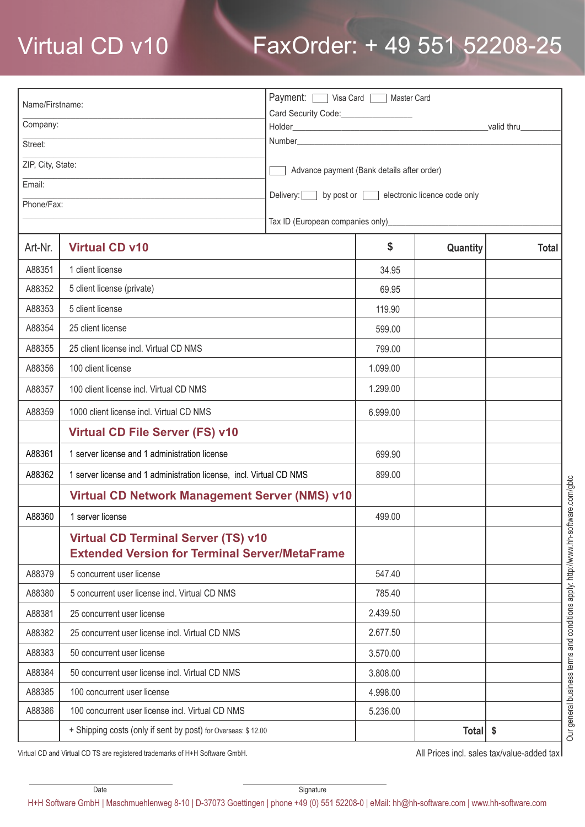## Virtual CD v10 FaxOrder: + 49 551 52208-25

| Name/Firstname:   |                                                                                                     | Payment: Visa Card   Master Card                  |          |                     |              |
|-------------------|-----------------------------------------------------------------------------------------------------|---------------------------------------------------|----------|---------------------|--------------|
| Company:          |                                                                                                     | Card Security Code:________________               |          |                     |              |
| Street:           |                                                                                                     |                                                   |          |                     |              |
| ZIP, City, State: |                                                                                                     |                                                   |          |                     |              |
| Email:            |                                                                                                     | Advance payment (Bank details after order)        |          |                     |              |
| Phone/Fax:        |                                                                                                     | Delivery: by post or electronic licence code only |          |                     |              |
|                   |                                                                                                     |                                                   |          |                     |              |
| Art-Nr.           | <b>Virtual CD v10</b>                                                                               |                                                   | \$       | Quantity            | <b>Total</b> |
| A88351            | 1 client license                                                                                    |                                                   | 34.95    |                     |              |
| A88352            | 5 client license (private)                                                                          |                                                   | 69.95    |                     |              |
| A88353            | 5 client license                                                                                    |                                                   | 119.90   |                     |              |
| A88354            | 25 client license                                                                                   |                                                   | 599.00   |                     |              |
| A88355            | 25 client license incl. Virtual CD NMS                                                              |                                                   | 799.00   |                     |              |
| A88356            | 100 client license                                                                                  |                                                   | 1.099.00 |                     |              |
| A88357            | 100 client license incl. Virtual CD NMS                                                             |                                                   | 1.299.00 |                     |              |
| A88359            | 1000 client license incl. Virtual CD NMS                                                            |                                                   | 6.999.00 |                     |              |
|                   | <b>Virtual CD File Server (FS) v10</b>                                                              |                                                   |          |                     |              |
| A88361            | 1 server license and 1 administration license                                                       |                                                   | 699.90   |                     |              |
| A88362            | 1 server license and 1 administration license, incl. Virtual CD NMS                                 |                                                   | 899.00   |                     |              |
|                   | Virtual CD Network Management Server (NMS) v10                                                      |                                                   |          |                     |              |
| A88360            | 1 server license                                                                                    |                                                   | 499.00   |                     |              |
|                   | <b>Virtual CD Terminal Server (TS) v10</b><br><b>Extended Version for Terminal Server/MetaFrame</b> |                                                   |          |                     |              |
| A88379            | 5 concurrent user license                                                                           |                                                   | 547.40   |                     |              |
| A88380            | 5 concurrent user license incl. Virtual CD NMS                                                      |                                                   | 785.40   |                     |              |
| A88381            | 25 concurrent user license                                                                          |                                                   | 2.439.50 |                     |              |
| A88382            | 25 concurrent user license incl. Virtual CD NMS                                                     |                                                   | 2.677.50 |                     |              |
| A88383            | 50 concurrent user license                                                                          |                                                   | 3.570.00 |                     |              |
| A88384            | 50 concurrent user license incl. Virtual CD NMS                                                     |                                                   | 3.808.00 |                     |              |
| A88385            | 100 concurrent user license                                                                         |                                                   | 4.998.00 |                     |              |
| A88386            | 100 concurrent user license incl. Virtual CD NMS                                                    |                                                   | 5.236.00 |                     |              |
|                   | + Shipping costs (only if sent by post) for Overseas: \$12.00                                       |                                                   |          | Total $\frac{1}{2}$ |              |

Virtual CD and Virtual CD TS are registered trademarks of H+H Software GmbH.

All Prices incl. sales tax/value-added tax